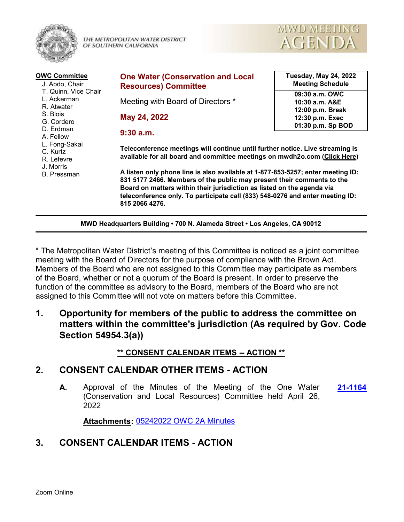

THE METROPOLITAN WATER DISTRICT OF SOUTHERN CALIFORNIA



| <b>OWC Committee</b><br>J. Abdo, Chair<br>T. Quinn, Vice Chair<br>L. Ackerman<br>R. Atwater<br>S. Blois<br>G. Cordero<br>D. Erdman<br>A. Fellow<br>L. Fong-Sakai | <b>One Water (Conservation and Local</b><br><b>Resources) Committee</b>                                                                                                                                                                                                                                                                | <b>Tuesday, May 24, 2022</b><br><b>Meeting Schedule</b> |  |  |  |
|------------------------------------------------------------------------------------------------------------------------------------------------------------------|----------------------------------------------------------------------------------------------------------------------------------------------------------------------------------------------------------------------------------------------------------------------------------------------------------------------------------------|---------------------------------------------------------|--|--|--|
|                                                                                                                                                                  | Meeting with Board of Directors *                                                                                                                                                                                                                                                                                                      | 09:30 a.m. OWC<br>10:30 a.m. A&E<br>12:00 p.m. Break    |  |  |  |
|                                                                                                                                                                  | May 24, 2022                                                                                                                                                                                                                                                                                                                           | 12:30 p.m. Exec<br>01:30 p.m. Sp BOD                    |  |  |  |
|                                                                                                                                                                  | $9:30$ a.m.                                                                                                                                                                                                                                                                                                                            |                                                         |  |  |  |
| C. Kurtz<br>R. Lefevre<br>J. Morris                                                                                                                              | Teleconference meetings will continue until further notice. Live streaming is<br>available for all board and committee meetings on mwdh2o.com (Click Here)                                                                                                                                                                             |                                                         |  |  |  |
| <b>B.</b> Pressman                                                                                                                                               | A listen only phone line is also available at 1-877-853-5257; enter meeting ID:<br>831 5177 2466. Members of the public may present their comments to the<br>Board on matters within their jurisdiction as listed on the agenda via<br>teleconference only. To participate call (833) 548-0276 and enter meeting ID:<br>815 2066 4276. |                                                         |  |  |  |
| MWD Headquarters Building . 700 N. Alameda Street . Los Angeles, CA 90012                                                                                        |                                                                                                                                                                                                                                                                                                                                        |                                                         |  |  |  |

\* The Metropolitan Water District's meeting of this Committee is noticed as a joint committee meeting with the Board of Directors for the purpose of compliance with the Brown Act. Members of the Board who are not assigned to this Committee may participate as members of the Board, whether or not a quorum of the Board is present. In order to preserve the function of the committee as advisory to the Board, members of the Board who are not assigned to this Committee will not vote on matters before this Committee.

**1. Opportunity for members of the public to address the committee on matters within the committee's jurisdiction (As required by Gov. Code Section 54954.3(a))**

### **\*\* CONSENT CALENDAR ITEMS -- ACTION \*\***

# **2. CONSENT CALENDAR OTHER ITEMS - ACTION**

**A.** Approval of the Minutes of the Meeting of the One Water **[21-1164](http://mwdh2o.legistar.com/gateway.aspx?m=l&id=/matter.aspx?key=2256)** (Conservation and Local Resources) Committee held April 26, 2022

**Attachments:** [05242022 OWC 2A Minutes](http://mwdh2o.legistar.com/gateway.aspx?M=F&ID=0145540c-bddc-4dc9-8962-3e325aecb576.pdf)

# **3. CONSENT CALENDAR ITEMS - ACTION**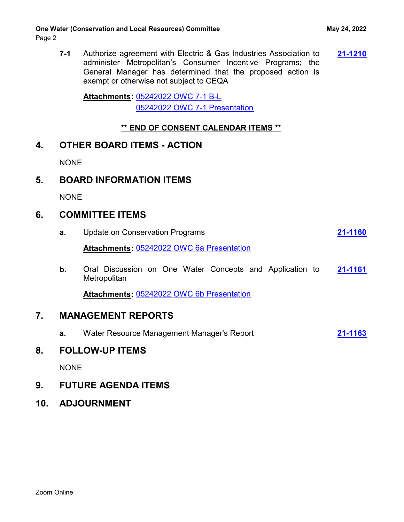**7-1** Authorize agreement with Electric & Gas Industries Association to **[21-1210](http://mwdh2o.legistar.com/gateway.aspx?m=l&id=/matter.aspx?key=2302)** administer Metropolitan's Consumer Incentive Programs; the General Manager has determined that the proposed action is exempt or otherwise not subject to CEQA

[05242022 OWC 7-1 B-L](http://mwdh2o.legistar.com/gateway.aspx?M=F&ID=3b64dd04-ed87-4685-8a42-5bd702b32441.pdf) **Attachments:** [05242022 OWC 7-1 Presentation](http://mwdh2o.legistar.com/gateway.aspx?M=F&ID=b350b8a5-0fc1-49ac-8044-976c46c5cc57.pdf)

#### **\*\* END OF CONSENT CALENDAR ITEMS \*\***

### **4. OTHER BOARD ITEMS - ACTION**

NONE

# **5. BOARD INFORMATION ITEMS**

NONE

# **6. COMMITTEE ITEMS**

| <b>Attachments: 05242022 OWC 6a Presentation</b><br>b.<br>Oral Discussion on One Water Concepts and Application to<br>Metropolitan<br><b>Attachments: 05242022 OWC 6b Presentation</b><br>7.<br><b>MANAGEMENT REPORTS</b><br>Water Resource Management Manager's Report<br>а.<br><b>FOLLOW-UP ITEMS</b><br>8.<br><b>NONE</b> |  | <b>Update on Conservation Programs</b><br>a. |  | 21-1160 |
|------------------------------------------------------------------------------------------------------------------------------------------------------------------------------------------------------------------------------------------------------------------------------------------------------------------------------|--|----------------------------------------------|--|---------|
|                                                                                                                                                                                                                                                                                                                              |  |                                              |  |         |
|                                                                                                                                                                                                                                                                                                                              |  |                                              |  | 21-1161 |
|                                                                                                                                                                                                                                                                                                                              |  |                                              |  |         |
|                                                                                                                                                                                                                                                                                                                              |  |                                              |  |         |
|                                                                                                                                                                                                                                                                                                                              |  |                                              |  | 21-1163 |
|                                                                                                                                                                                                                                                                                                                              |  |                                              |  |         |
|                                                                                                                                                                                                                                                                                                                              |  |                                              |  |         |

# **9. FUTURE AGENDA ITEMS**

**10. ADJOURNMENT**